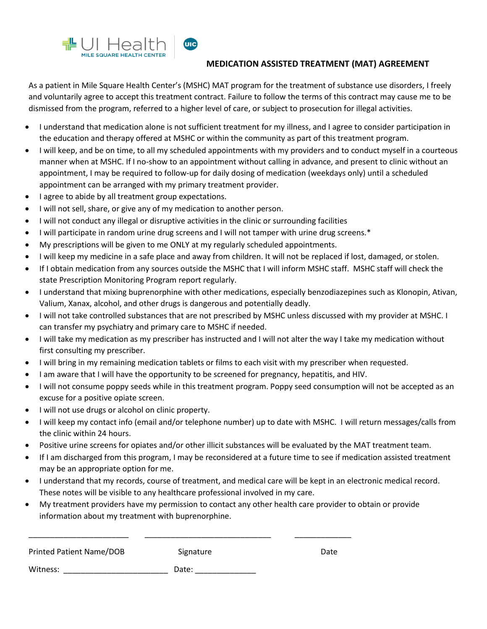

## **MEDICATION ASSISTED TREATMENT (MAT) AGREEMENT**

As a patient in Mile Square Health Center's (MSHC) MAT program for the treatment of substance use disorders, I freely and voluntarily agree to accept this treatment contract. Failure to follow the terms of this contract may cause me to be dismissed from the program, referred to a higher level of care, or subject to prosecution for illegal activities.

- I understand that medication alone is not sufficient treatment for my illness, and I agree to consider participation in the education and therapy offered at MSHC or within the community as part of this treatment program.
- I will keep, and be on time, to all my scheduled appointments with my providers and to conduct myself in a courteous manner when at MSHC. If I no-show to an appointment without calling in advance, and present to clinic without an appointment, I may be required to follow-up for daily dosing of medication (weekdays only) until a scheduled appointment can be arranged with my primary treatment provider.
- I agree to abide by all treatment group expectations.
- I will not sell, share, or give any of my medication to another person.
- I will not conduct any illegal or disruptive activities in the clinic or surrounding facilities
- I will participate in random urine drug screens and I will not tamper with urine drug screens.\*
- My prescriptions will be given to me ONLY at my regularly scheduled appointments.
- I will keep my medicine in a safe place and away from children. It will not be replaced if lost, damaged, or stolen.
- If I obtain medication from any sources outside the MSHC that I will inform MSHC staff. MSHC staff will check the state Prescription Monitoring Program report regularly.
- I understand that mixing buprenorphine with other medications, especially benzodiazepines such as Klonopin, Ativan, Valium, Xanax, alcohol, and other drugs is dangerous and potentially deadly.
- I will not take controlled substances that are not prescribed by MSHC unless discussed with my provider at MSHC. I can transfer my psychiatry and primary care to MSHC if needed.
- I will take my medication as my prescriber has instructed and I will not alter the way I take my medication without first consulting my prescriber.
- I will bring in my remaining medication tablets or films to each visit with my prescriber when requested.
- I am aware that I will have the opportunity to be screened for pregnancy, hepatitis, and HIV.
- I will not consume poppy seeds while in this treatment program. Poppy seed consumption will not be accepted as an excuse for a positive opiate screen.
- I will not use drugs or alcohol on clinic property.
- I will keep my contact info (email and/or telephone number) up to date with MSHC. I will return messages/calls from the clinic within 24 hours.
- Positive urine screens for opiates and/or other illicit substances will be evaluated by the MAT treatment team.
- If I am discharged from this program, I may be reconsidered at a future time to see if medication assisted treatment may be an appropriate option for me.
- I understand that my records, course of treatment, and medical care will be kept in an electronic medical record. These notes will be visible to any healthcare professional involved in my care.
- My treatment providers have my permission to contact any other health care provider to obtain or provide information about my treatment with buprenorphine.

| <b>Printed Patient Name/DOB</b> | Signature | Date |
|---------------------------------|-----------|------|
| Witness:                        | Date:     |      |